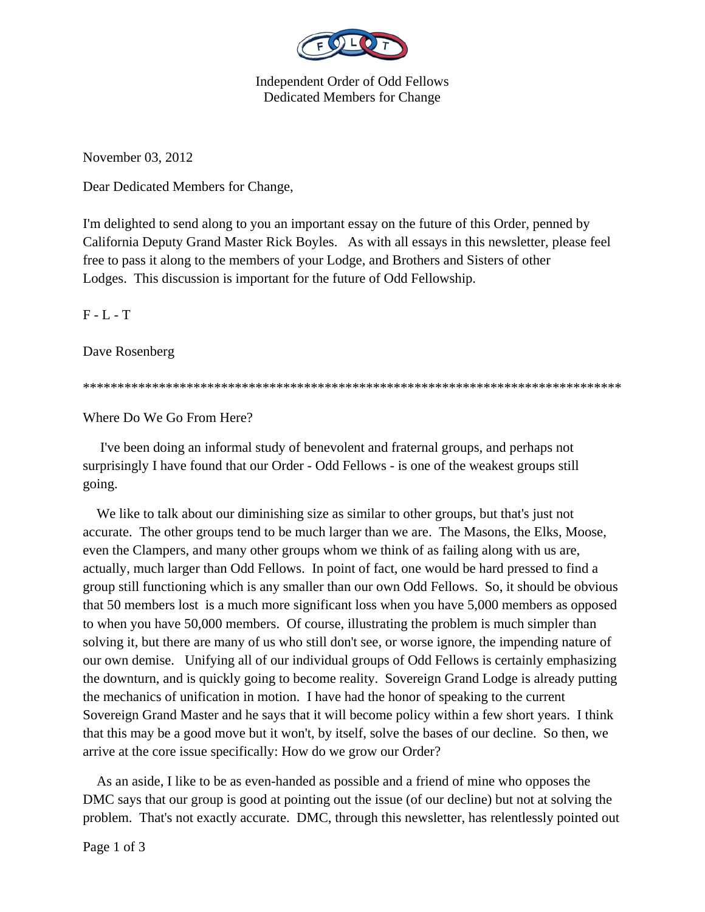

Independent Order of Odd Fellows Dedicated Members for Change

November 03, 2012

Dear Dedicated Members for Change,

I'm delighted to send along to you an important essay on the future of this Order, penned by California Deputy Grand Master Rick Boyles. As with all essays in this newsletter, please feel free to pass it along to the members of your Lodge, and Brothers and Sisters of other Lodges. This discussion is important for the future of Odd Fellowship.

 $F - L - T$ 

Dave Rosenberg

\*\*\*\*\*\*\*\*\*\*\*\*\*\*\*\*\*\*\*\*\*\*\*\*\*\*\*\*\*\*\*\*\*\*\*\*\*\*\*\*\*\*\*\*\*\*\*\*\*\*\*\*\*\*\*\*\*\*\*\*\*\*\*\*\*\*\*\*\*\*\*\*\*\*\*\*\*\*

Where Do We Go From Here?

 I've been doing an informal study of benevolent and fraternal groups, and perhaps not surprisingly I have found that our Order - Odd Fellows - is one of the weakest groups still going.

We like to talk about our diminishing size as similar to other groups, but that's just not accurate. The other groups tend to be much larger than we are. The Masons, the Elks, Moose, even the Clampers, and many other groups whom we think of as failing along with us are, actually, much larger than Odd Fellows. In point of fact, one would be hard pressed to find a group still functioning which is any smaller than our own Odd Fellows. So, it should be obvious that 50 members lost is a much more significant loss when you have 5,000 members as opposed to when you have 50,000 members. Of course, illustrating the problem is much simpler than solving it, but there are many of us who still don't see, or worse ignore, the impending nature of our own demise. Unifying all of our individual groups of Odd Fellows is certainly emphasizing the downturn, and is quickly going to become reality. Sovereign Grand Lodge is already putting the mechanics of unification in motion. I have had the honor of speaking to the current Sovereign Grand Master and he says that it will become policy within a few short years. I think that this may be a good move but it won't, by itself, solve the bases of our decline. So then, we arrive at the core issue specifically: How do we grow our Order?

 As an aside, I like to be as even-handed as possible and a friend of mine who opposes the DMC says that our group is good at pointing out the issue (of our decline) but not at solving the problem. That's not exactly accurate. DMC, through this newsletter, has relentlessly pointed out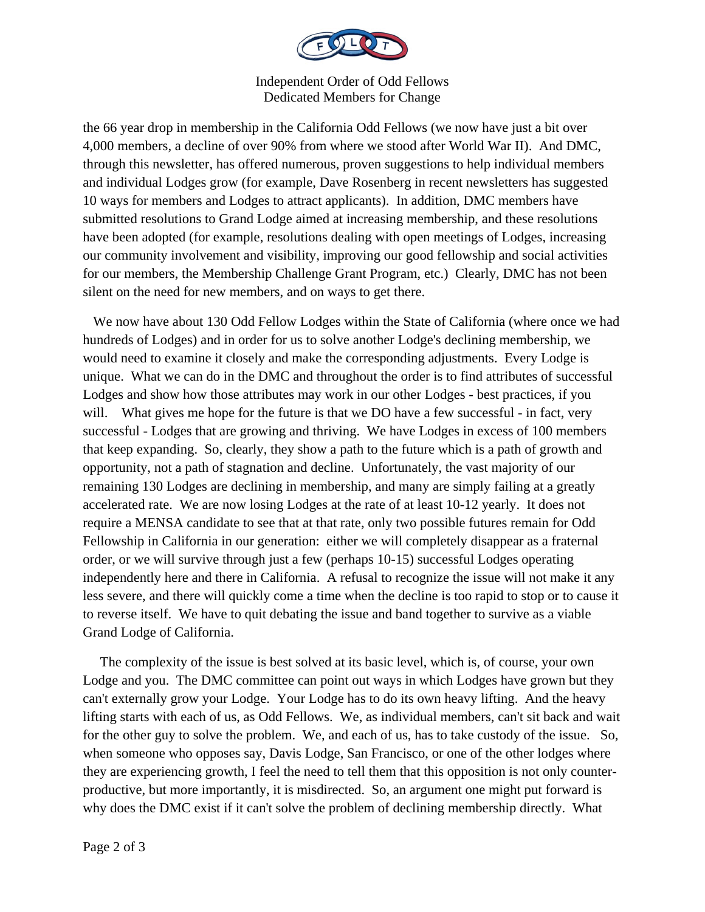

Independent Order of Odd Fellows Dedicated Members for Change

the 66 year drop in membership in the California Odd Fellows (we now have just a bit over 4,000 members, a decline of over 90% from where we stood after World War II). And DMC, through this newsletter, has offered numerous, proven suggestions to help individual members and individual Lodges grow (for example, Dave Rosenberg in recent newsletters has suggested 10 ways for members and Lodges to attract applicants). In addition, DMC members have submitted resolutions to Grand Lodge aimed at increasing membership, and these resolutions have been adopted (for example, resolutions dealing with open meetings of Lodges, increasing our community involvement and visibility, improving our good fellowship and social activities for our members, the Membership Challenge Grant Program, etc.) Clearly, DMC has not been silent on the need for new members, and on ways to get there.

 We now have about 130 Odd Fellow Lodges within the State of California (where once we had hundreds of Lodges) and in order for us to solve another Lodge's declining membership, we would need to examine it closely and make the corresponding adjustments. Every Lodge is unique. What we can do in the DMC and throughout the order is to find attributes of successful Lodges and show how those attributes may work in our other Lodges - best practices, if you will. What gives me hope for the future is that we DO have a few successful - in fact, very successful - Lodges that are growing and thriving. We have Lodges in excess of 100 members that keep expanding. So, clearly, they show a path to the future which is a path of growth and opportunity, not a path of stagnation and decline. Unfortunately, the vast majority of our remaining 130 Lodges are declining in membership, and many are simply failing at a greatly accelerated rate. We are now losing Lodges at the rate of at least 10-12 yearly. It does not require a MENSA candidate to see that at that rate, only two possible futures remain for Odd Fellowship in California in our generation: either we will completely disappear as a fraternal order, or we will survive through just a few (perhaps 10-15) successful Lodges operating independently here and there in California. A refusal to recognize the issue will not make it any less severe, and there will quickly come a time when the decline is too rapid to stop or to cause it to reverse itself. We have to quit debating the issue and band together to survive as a viable Grand Lodge of California.

 The complexity of the issue is best solved at its basic level, which is, of course, your own Lodge and you. The DMC committee can point out ways in which Lodges have grown but they can't externally grow your Lodge. Your Lodge has to do its own heavy lifting. And the heavy lifting starts with each of us, as Odd Fellows. We, as individual members, can't sit back and wait for the other guy to solve the problem. We, and each of us, has to take custody of the issue. So, when someone who opposes say, Davis Lodge, San Francisco, or one of the other lodges where they are experiencing growth, I feel the need to tell them that this opposition is not only counterproductive, but more importantly, it is misdirected. So, an argument one might put forward is why does the DMC exist if it can't solve the problem of declining membership directly. What